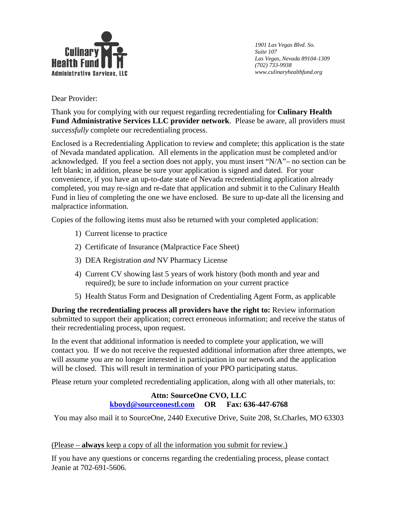

*1901 Las Vegas Blvd. So. Suite 107 Las Vegas, Nevada 89104-1309 (702) 733-9938 www.culinaryhealthfund.org*

Dear Provider:

Thank you for complying with our request regarding recredentialing for **Culinary Health Fund Administrative Services LLC provider network**. Please be aware, all providers must *successfully* complete our recredentialing process.

Enclosed is a Recredentialing Application to review and complete; this application is the state of Nevada mandated application. All elements in the application must be completed and/or acknowledged. If you feel a section does not apply, you must insert "N/A"– no section can be left blank; in addition, please be sure your application is signed and dated. For your convenience, if you have an up-to-date state of Nevada recredentialing application already completed, you may re-sign and re-date that application and submit it to the Culinary Health Fund in lieu of completing the one we have enclosed. Be sure to up-date all the licensing and malpractice information.

Copies of the following items must also be returned with your completed application:

- 1) Current license to practice
- 2) Certificate of Insurance (Malpractice Face Sheet)
- 3) DEA Registration *and* NV Pharmacy License
- 4) Current CV showing last 5 years of work history (both month and year and required); be sure to include information on your current practice
- 5) Health Status Form and Designation of Credentialing Agent Form, as applicable

**During the recredentialing process all providers have the right to:** Review information submitted to support their application; correct erroneous information; and receive the status of their recredentialing process, upon request.

In the event that additional information is needed to complete your application, we will contact you. If we do not receive the requested additional information after three attempts, we will assume you are no longer interested in participation in our network and the application will be closed. This will result in termination of your PPO participating status.

Please return your completed recredentialing application, along with all other materials, to:

# **Attn: SourceOne CVO, LLC [kboyd@sourceonestl.com](mailto:kboyd@sourceonestl.com) OR Fax: 636-447-6768**

You may also mail it to SourceOne, 2440 Executive Drive, Suite 208, St.Charles, MO 63303

### (Please – **always** keep a copy of all the information you submit for review.)

If you have any questions or concerns regarding the credentialing process, please contact Jeanie at 702-691-5606.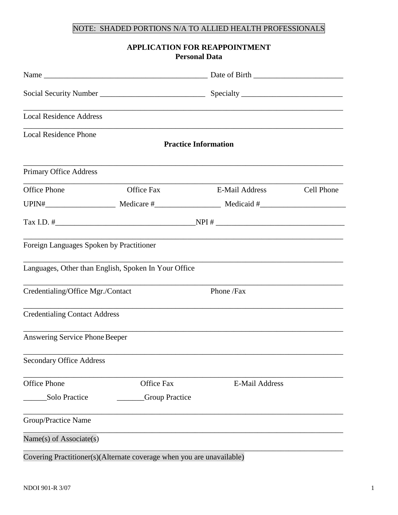# NOTE: SHADED PORTIONS N/A TO ALLIED HEALTH PROFESSIONALS

### **APPLICATION FOR REAPPOINTMENT Personal Data**

| <b>Local Residence Address</b>           |                                                      | ,我们也不能在这里的时候,我们也不能在这里的时候,我们也不能会在这里的时候,我们也不能会在这里的时候,我们也不能会在这里的时候,我们也不能会在这里的时候,我们也不 |            |  |
|------------------------------------------|------------------------------------------------------|-----------------------------------------------------------------------------------|------------|--|
| <b>Local Residence Phone</b>             |                                                      | <b>Practice Information</b>                                                       |            |  |
| <b>Primary Office Address</b>            |                                                      |                                                                                   |            |  |
| <b>Office Phone</b>                      | <b>Office Fax</b>                                    | E-Mail Address                                                                    | Cell Phone |  |
|                                          |                                                      |                                                                                   |            |  |
|                                          |                                                      |                                                                                   |            |  |
| Foreign Languages Spoken by Practitioner |                                                      |                                                                                   |            |  |
|                                          | Languages, Other than English, Spoken In Your Office |                                                                                   |            |  |
| Credentialing/Office Mgr./Contact        |                                                      | Phone /Fax                                                                        |            |  |
| <b>Credentialing Contact Address</b>     |                                                      |                                                                                   |            |  |
| Answering Service Phone Beeper           |                                                      |                                                                                   |            |  |
| <b>Secondary Office Address</b>          |                                                      |                                                                                   |            |  |
| <b>Office Phone</b>                      | <b>Office Fax</b>                                    | <b>E-Mail Address</b>                                                             |            |  |
| Solo Practice                            | <b>Group Practice</b>                                |                                                                                   |            |  |
| Group/Practice Name                      |                                                      |                                                                                   |            |  |
| Name(s) of Associate(s)                  |                                                      |                                                                                   |            |  |
|                                          |                                                      |                                                                                   |            |  |

Covering Practitioner(s)(Alternate coverage when you are unavailable)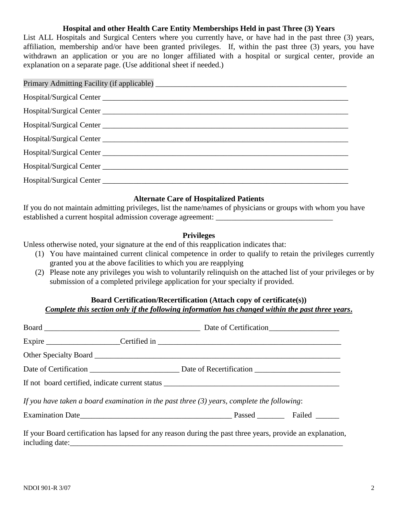### **Hospital and other Health Care Entity Memberships Held in past Three (3) Years**

List ALL Hospitals and Surgical Centers where you currently have, or have had in the past three (3) years, affiliation, membership and/or have been granted privileges. If, within the past three (3) years, you have withdrawn an application or you are no longer affiliated with a hospital or surgical center, provide an explanation on a separate page. (Use additional sheet if needed.)

| Hospital/Surgical Center |  |
|--------------------------|--|
|                          |  |
|                          |  |
|                          |  |
|                          |  |
|                          |  |

### **Alternate Care of Hospitalized Patients**

If you do not maintain admitting privileges, list the name/names of physicians or groups with whom you have established a current hospital admission coverage agreement: \_\_\_\_\_\_\_\_\_\_\_\_\_\_\_\_\_\_\_\_

### **Privileges**

Unless otherwise noted, your signature at the end of this reapplication indicates that:

- (1) You have maintained current clinical competence in order to qualify to retain the privileges currently granted you at the above facilities to which you are reapplying
- (2) Please note any privileges you wish to voluntarily relinquish on the attached list of your privileges or by submission of a completed privilege application for your specialty if provided.

# **Board Certification/Recertification (Attach copy of certificate(s))**

# *Complete this section only if the following information has changed within the past three years***.**

|  | If you have taken a board examination in the past three $(3)$ years, complete the following:               |  |
|--|------------------------------------------------------------------------------------------------------------|--|
|  |                                                                                                            |  |
|  | If your Board certification has lapsed for any reason during the past three years, provide an explanation, |  |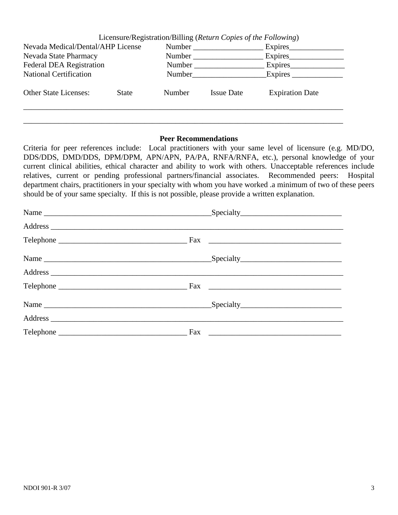|                                   |              |        | Licensure/Registration/Billing (Return Copies of the Following) |                        |
|-----------------------------------|--------------|--------|-----------------------------------------------------------------|------------------------|
| Nevada Medical/Dental/AHP License |              | Number |                                                                 | Expires                |
| Nevada State Pharmacy             |              | Number |                                                                 | Expires                |
| <b>Federal DEA Registration</b>   |              | Number |                                                                 | Expires                |
| <b>National Certification</b>     |              | Number |                                                                 | Expires                |
| <b>Other State Licenses:</b>      | <b>State</b> | Number | <b>Issue Date</b>                                               | <b>Expiration Date</b> |
|                                   |              |        |                                                                 |                        |

\_\_\_\_\_\_\_\_\_\_\_\_\_\_\_\_\_\_\_\_\_\_\_\_\_\_\_\_\_\_\_\_\_\_\_\_\_\_\_\_\_\_\_\_\_\_\_\_\_\_\_\_\_\_\_\_\_\_\_\_\_\_\_\_\_\_\_\_\_\_\_\_\_\_\_\_\_\_\_\_\_\_

### **Peer Recommendations**

Criteria for peer references include: Local practitioners with your same level of licensure (e.g. MD/DO, DDS/DDS, DMD/DDS, DPM/DPM, APN/APN, PA/PA, RNFA/RNFA, etc.), personal knowledge of your current clinical abilities, ethical character and ability to work with others. Unacceptable references include relatives, current or pending professional partners/financial associates. Recommended peers: Hospital department chairs, practitioners in your specialty with whom you have worked .a minimum of two of these peers should be of your same specialty. If this is not possible, please provide a written explanation.

| Name |  |
|------|--|
|      |  |
|      |  |
|      |  |
|      |  |
|      |  |
| Name |  |
|      |  |
|      |  |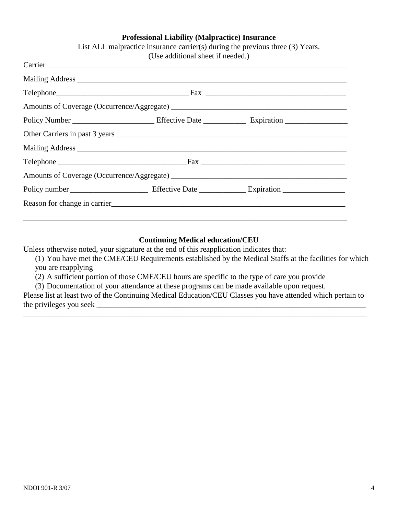### **Professional Liability (Malpractice) Insurance**

|  | (Use additional sheet if needed.) |  |
|--|-----------------------------------|--|
|  |                                   |  |
|  |                                   |  |
|  |                                   |  |
|  |                                   |  |
|  |                                   |  |
|  |                                   |  |
|  |                                   |  |
|  |                                   |  |
|  |                                   |  |
|  |                                   |  |
|  |                                   |  |
|  |                                   |  |

# List ALL malpractice insurance carrier(s) during the previous three (3) Years.

### **Continuing Medical education/CEU**

Unless otherwise noted, your signature at the end of this reapplication indicates that:

(1) You have met the CME/CEU Requirements established by the Medical Staffs at the facilities for which you are reapplying

(2) A sufficient portion of those CME/CEU hours are specific to the type of care you provide

(3) Documentation of your attendance at these programs can be made available upon request.

Please list at least two of the Continuing Medical Education/CEU Classes you have attended which pertain to the privileges you seek \_\_\_\_\_\_\_\_\_\_\_\_\_\_\_\_\_\_\_\_\_\_\_\_\_\_\_\_\_\_\_\_\_\_\_\_\_\_\_\_\_\_\_\_\_\_\_\_\_\_\_\_\_\_\_\_\_\_\_\_\_\_\_\_\_\_\_\_\_

\_\_\_\_\_\_\_\_\_\_\_\_\_\_\_\_\_\_\_\_\_\_\_\_\_\_\_\_\_\_\_\_\_\_\_\_\_\_\_\_\_\_\_\_\_\_\_\_\_\_\_\_\_\_\_\_\_\_\_\_\_\_\_\_\_\_\_\_\_\_\_\_\_\_\_\_\_\_\_\_\_\_\_\_\_\_\_\_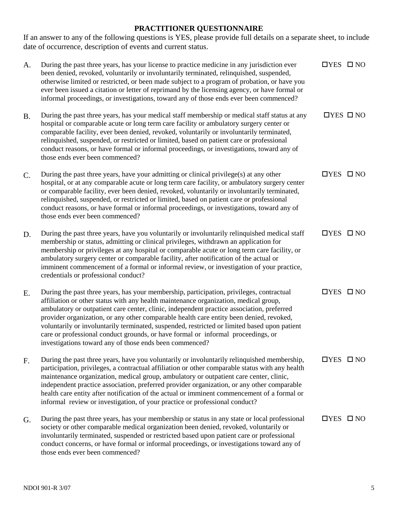# **PRACTITIONER QUESTIONNAIRE**

If an answer to any of the following questions is YES, please provide full details on a separate sheet, to include date of occurrence, description of events and current status.

| A.        | During the past three years, has your license to practice medicine in any jurisdiction ever<br>been denied, revoked, voluntarily or involuntarily terminated, relinquished, suspended,<br>otherwise limited or restricted, or been made subject to a program of probation, or have you<br>ever been issued a citation or letter of reprimand by the licensing agency, or have formal or<br>informal proceedings, or investigations, toward any of those ends ever been commenced?                                                                                                                                       | $\Box$ YES $\Box$ NO |  |
|-----------|-------------------------------------------------------------------------------------------------------------------------------------------------------------------------------------------------------------------------------------------------------------------------------------------------------------------------------------------------------------------------------------------------------------------------------------------------------------------------------------------------------------------------------------------------------------------------------------------------------------------------|----------------------|--|
| <b>B.</b> | During the past three years, has your medical staff membership or medical staff status at any<br>hospital or comparable acute or long term care facility or ambulatory surgery center or<br>comparable facility, ever been denied, revoked, voluntarily or involuntarily terminated,<br>relinquished, suspended, or restricted or limited, based on patient care or professional<br>conduct reasons, or have formal or informal proceedings, or investigations, toward any of<br>those ends ever been commenced?                                                                                                        | $\Box$ YES $\Box$ NO |  |
| C.        | During the past three years, have your admitting or clinical privilege(s) at any other<br>hospital, or at any comparable acute or long term care facility, or ambulatory surgery center<br>or comparable facility, ever been denied, revoked, voluntarily or involuntarily terminated,<br>relinquished, suspended, or restricted or limited, based on patient care or professional<br>conduct reasons, or have formal or informal proceedings, or investigations, toward any of<br>those ends ever been commenced?                                                                                                      | $\Box$ YES $\Box$ NO |  |
| D.        | During the past three years, have you voluntarily or involuntarily relinquished medical staff<br>membership or status, admitting or clinical privileges, withdrawn an application for<br>membership or privileges at any hospital or comparable acute or long term care facility, or<br>ambulatory surgery center or comparable facility, after notification of the actual or<br>imminent commencement of a formal or informal review, or investigation of your practice,<br>credentials or professional conduct?                                                                                                       | $\Box$ YES $\Box$ NO |  |
| Ε.        | During the past three years, has your membership, participation, privileges, contractual<br>affiliation or other status with any health maintenance organization, medical group,<br>ambulatory or outpatient care center, clinic, independent practice association, preferred<br>provider organization, or any other comparable health care entity been denied, revoked,<br>voluntarily or involuntarily terminated, suspended, restricted or limited based upon patient<br>care or professional conduct grounds, or have formal or informal proceedings, or<br>investigations toward any of those ends been commenced? | $\Box$ YES $\Box$ NO |  |
| F.        | During the past three years, have you voluntarily or involuntarily relinquished membership,<br>participation, privileges, a contractual affiliation or other comparable status with any health<br>maintenance organization, medical group, ambulatory or outpatient care center, clinic,<br>independent practice association, preferred provider organization, or any other comparable<br>health care entity after notification of the actual or imminent commencement of a formal or<br>informal review or investigation, of your practice or professional conduct?                                                    | $\Box$ YES $\Box$ NO |  |
| G.        | During the past three years, has your membership or status in any state or local professional<br>society or other comparable medical organization been denied, revoked, voluntarily or<br>involuntarily terminated, suspended or restricted based upon patient care or professional<br>conduct concerns, or have formal or informal proceedings, or investigations toward any of<br>those ends ever been commenced?                                                                                                                                                                                                     | $\Box$ YES $\Box$ NO |  |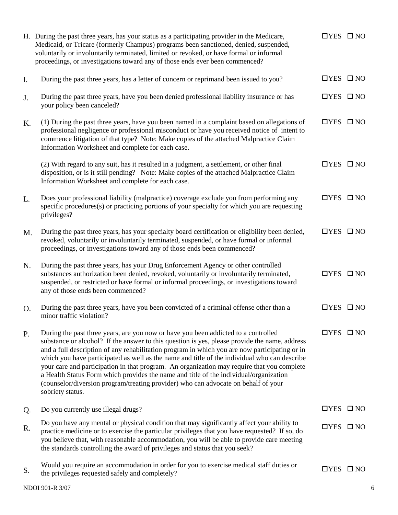|                | H. During the past three years, has your status as a participating provider in the Medicare,<br>Medicaid, or Tricare (formerly Champus) programs been sanctioned, denied, suspended,<br>voluntarily or involuntarily terminated, limited or revoked, or have formal or informal<br>proceedings, or investigations toward any of those ends ever been commenced?                                                                                                                                                                                                                                                                                                                       | $\Box$ YES $\Box$ NO |  |
|----------------|---------------------------------------------------------------------------------------------------------------------------------------------------------------------------------------------------------------------------------------------------------------------------------------------------------------------------------------------------------------------------------------------------------------------------------------------------------------------------------------------------------------------------------------------------------------------------------------------------------------------------------------------------------------------------------------|----------------------|--|
| $\mathbf{I}$ . | During the past three years, has a letter of concern or reprimand been issued to you?                                                                                                                                                                                                                                                                                                                                                                                                                                                                                                                                                                                                 | $\Box$ YES $\Box$ NO |  |
| J.             | During the past three years, have you been denied professional liability insurance or has<br>your policy been canceled?                                                                                                                                                                                                                                                                                                                                                                                                                                                                                                                                                               | $\Box$ YES $\Box$ NO |  |
| $K_{\cdot}$    | (1) During the past three years, have you been named in a complaint based on allegations of<br>professional negligence or professional misconduct or have you received notice of intent to<br>commence litigation of that type? Note: Make copies of the attached Malpractice Claim<br>Information Worksheet and complete for each case.                                                                                                                                                                                                                                                                                                                                              | $\Box$ YES $\Box$ NO |  |
|                | (2) With regard to any suit, has it resulted in a judgment, a settlement, or other final<br>disposition, or is it still pending? Note: Make copies of the attached Malpractice Claim<br>Information Worksheet and complete for each case.                                                                                                                                                                                                                                                                                                                                                                                                                                             | $\Box$ YES $\Box$ NO |  |
| L.             | Does your professional liability (malpractice) coverage exclude you from performing any<br>specific procedures(s) or practicing portions of your specialty for which you are requesting<br>privileges?                                                                                                                                                                                                                                                                                                                                                                                                                                                                                | $\Box$ YES $\Box$ NO |  |
| M.             | During the past three years, has your specialty board certification or eligibility been denied,<br>revoked, voluntarily or involuntarily terminated, suspended, or have formal or informal<br>proceedings, or investigations toward any of those ends been commenced?                                                                                                                                                                                                                                                                                                                                                                                                                 | $\Box$ YES $\Box$ NO |  |
| N.             | During the past three years, has your Drug Enforcement Agency or other controlled<br>substances authorization been denied, revoked, voluntarily or involuntarily terminated,<br>suspended, or restricted or have formal or informal proceedings, or investigations toward<br>any of those ends been commenced?                                                                                                                                                                                                                                                                                                                                                                        | $\Box$ YES $\Box$ NO |  |
| O.             | During the past three years, have you been convicted of a criminal offense other than a<br>minor traffic violation?                                                                                                                                                                                                                                                                                                                                                                                                                                                                                                                                                                   | $\Box$ YES $\Box$ NO |  |
| P.             | During the past three years, are you now or have you been addicted to a controlled<br>substance or alcohol? If the answer to this question is yes, please provide the name, address<br>and a full description of any rehabilitation program in which you are now participating or in<br>which you have participated as well as the name and title of the individual who can describe<br>your care and participation in that program. An organization may require that you complete<br>a Health Status Form which provides the name and title of the individual/organization<br>(counselor/diversion program/treating provider) who can advocate on behalf of your<br>sobriety status. | $\Box$ YES $\Box$ NO |  |
| Q.             | Do you currently use illegal drugs?                                                                                                                                                                                                                                                                                                                                                                                                                                                                                                                                                                                                                                                   | $\Box$ YES $\Box$ NO |  |
| R.             | Do you have any mental or physical condition that may significantly affect your ability to<br>practice medicine or to exercise the particular privileges that you have requested? If so, do<br>you believe that, with reasonable accommodation, you will be able to provide care meeting<br>the standards controlling the award of privileges and status that you seek?                                                                                                                                                                                                                                                                                                               | $\Box$ YES $\Box$ NO |  |
| S.             | Would you require an accommodation in order for you to exercise medical staff duties or<br>the privileges requested safely and completely?                                                                                                                                                                                                                                                                                                                                                                                                                                                                                                                                            | $\Box$ YES $\Box$ NO |  |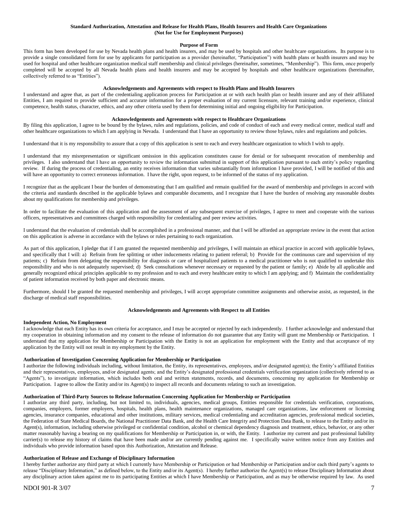#### **Standard Authorization, Attestation and Release for Health Plans, Health Insurers and Health Care Organizations (Not for Use for Employment Purposes)**

#### **Purpose of Form**

This form has been developed for use by Nevada health plans and health insurers, and may be used by hospitals and other healthcare organizations. Its purpose is to provide a single consolidated form for use by applicants for participation as a provider (hereinafter, "Participation") with health plans or health insurers and may be used for hospital and other healthcare organization medical staff membership and clinical privileges (hereinafter, sometimes, "Membership"). This form, once properly completed will be accepted by all Nevada health plans and health insurers and may be accepted by hospitals and other healthcare organizations (hereinafter, collectively referred to as "Entities").

#### **Acknowledgements and Agreements with respect to Health Plans and Health Insurers**

I understand and agree that, as part of the credentialing application process for Participation at or with each health plan or health insurer and any of their affiliated Entities, I am required to provide sufficient and accurate information for a proper evaluation of my current licensure, relevant training and/or experience, clinical competence, health status, character, ethics, and any other criteria used by them for determining initial and ongoing eligibility for Participation.

#### **Acknowledgements and Agreements with respect to Healthcare Organizations**

By filing this application, I agree to be bound by the bylaws, rules and regulations, policies, and code of conduct of each and every medical center, medical staff and other healthcare organizations to which I am applying in Nevada. I understand that I have an opportunity to review those bylaws, rules and regulations and policies.

I understand that it is my responsibility to assure that a copy of this application is sent to each and every healthcare organization to which I wish to apply.

I understand that my misrepresentation or significant omission in this application constitutes cause for denial or for subsequent revocation of membership and privileges. I also understand that I have an opportunity to review the information submitted in support of this application pursuant to each entity's policy regarding review. If during the process of credentialing, an entity receives information that varies substantially from information I have provided, I will be notified of this and will have an opportunity to correct erroneous information. I have the right, upon request, to be informed of the status of my application.

I recognize that as the applicant I bear the burden of demonstrating that I am qualified and remain qualified for the award of membership and privileges in accord with the criteria and standards described in the applicable bylaws and comparable documents, and I recognize that I have the burden of resolving any reasonable doubts about my qualifications for membership and privileges.

In order to facilitate the evaluation of this application and the assessment of any subsequent exercise of privileges, I agree to meet and cooperate with the various officers, representatives and committees charged with responsibility for credentialing and peer review activities.

I understand that the evaluation of credentials shall be accomplished in a professional manner, and that I will be afforded an appropriate review in the event that action on this application is adverse in accordance with the bylaws or rules pertaining to each organization.

As part of this application, I pledge that if I am granted the requested membership and privileges, I will maintain an ethical practice in accord with applicable bylaws, and specifically that I will: a) Refrain from fee splitting or other inducements relating to patient referral; b) Provide for the continuous care and supervision of my patients; c) Refrain from delegating the responsibility for diagnosis or care of hospitalized patients to a medical practitioner who is not qualified to undertake this responsibility and who is not adequately supervised; d) Seek consultations whenever necessary or requested by the patient or family; e) Abide by all applicable and generally recognized ethical principles applicable to my profession and to each and every healthcare entity to which I am applying; and f) Maintain the confidentiality of patient information received by both paper and electronic means.

Furthermore, should I be granted the requested membership and privileges, I will accept appropriate committee assignments and otherwise assist, as requested, in the discharge of medical staff responsibilities.

#### **Acknowledgements and Agreements with Respect to all Entities**

#### **Independent Action, No Employment**

I acknowledge that each Entity has its own criteria for acceptance, and I may be accepted or rejected by each independently. I further acknowledge and understand that my cooperation in obtaining information and my consent to the release of information do not guarantee that any Entity will grant me Membership or Participation. I understand that my application for Membership or Participation with the Entity is not an application for employment with the Entity and that acceptance of my application by the Entity will not result in my employment by the Entity.

#### **Authorization of Investigation Concerning Application for Membership or Participation**

I authorize the following individuals including, without limitation, the Entity, its representatives, employees, and/or designated agent(s); the Entity's affiliated Entities and their representatives, employees, and/or designated agents; and the Entity's designated professional credentials verification organization (collectively referred to as "Agents"), to investigate information, which includes both oral and written statements, records, and documents, concerning my application for Membership or Participation. I agree to allow the Entity and/or its Agent(s) to inspect all records and documents relating to such an investigation.

#### **Authorization of Third-Party Sources to Release Information Concerning Application for Membership or Participation**

I authorize any third party, including, but not limited to, individuals, agencies, medical groups, Entities responsible for credentials verification, corporations, companies, employers, former employers, hospitals, health plans, health maintenance organizations, managed care organizations, law enforcement or licensing agencies, insurance companies, educational and other institutions, military services, medical credentialing and accreditation agencies, professional medical societies, the Federation of State Medical Boards, the National Practitioner Data Bank, and the Health Care Integrity and Protection Data Bank, to release to the Entity and/or its Agent(s), information, including otherwise privileged or confidential condition, alcohol or chemical dependency diagnosis and treatment, ethics, behavior, or any other matter reasonably having a bearing on my qualifications for Membership or Participation in, or with, the Entity. I authorize my current and past professional liability carrier(s) to release my history of claims that have been made and/or are currently pending against me. I specifically waive written notice from any Entities and individuals who provide information based upon this Authorization, Attestation and Release.

#### **Authorization of Release and Exchange of Disciplinary Information**

I hereby further authorize any third party at which I currently have Membership or Participation or had Membership or Participation and/or each third party's agents to release "Disciplinary Information," as defined below, to the Entity and/or its Agent(s). I hereby further authorize the Agent(s) to release Disciplinary Information about any disciplinary action taken against me to its participating Entities at which I have Membership or Participation, and as may be otherwise required by law. As used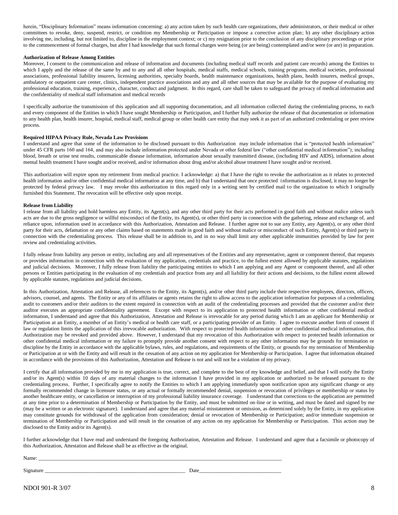herein, "Disciplinary Information" means information concerning: a) any action taken by such health care organizations, their administrators, or their medical or other committees to revoke, deny, suspend, restrict, or condition my Membership or Participation or impose a corrective action plan; b) any other disciplinary action involving me, including, but not limited to, discipline in the employment context; or c) my resignation prior to the conclusion of any disciplinary proceedings or prior to the commencement of formal charges, but after I had knowledge that such formal charges were being (or are being) contemplated and/or were (or are) in preparation.

#### **Authorization of Release Among Entities**

Moreover, I consent to the communication and release of information and documents (including medical staff records and patient care records) among the Entities to which I apply and the release of the same by and to any and all other hospitals, medical staffs, medical schools, training programs, medical societies, professional associations, professional liability insurers, licensing authorities, specialty boards, health maintenance organizations, health plans, health insurers, medical groups, ambulatory or outpatient care center, clinics, independent practice associations and any and all other sources that may be available for the purpose of evaluating my professional education, training, experience, character, conduct and judgment. In this regard, care shall be taken to safeguard the privacy of medical information and the confidentiality of medical staff information and medical records

I specifically authorize the transmission of this application and all supporting documentation, and all information collected during the credentialing process, to each and every component of the Entities in which I have sought Membership or Participation, and I further fully authorize the release of that documentation or information to any health plan, health insurer, hospital, medical staff, medical group or other health care entity that may seek it as part of an authorized credentialing or peer review process.

#### **Required HIPAA Privacy Rule, Nevada Law Provisions**

I understand and agree that some of the information to be disclosed pursuant to this Authorization may include information that is "protected health information" under 45 CFR parts 160 and 164, and may also include information protected under Nevada or other federal law ("other confidential medical information"); including blood, breath or urine test results, communicable disease information, information about sexually transmitted disease, (including HIV and AIDS), information about mental health treatment I have sought and/or received, and/or information about drug and/or alcohol abuse treatment I have sought and/or received.

This authorization will expire upon my retirement from medical practice. I acknowledge: a) that I have the right to revoke the authorization as it relates to protected health information and/or other confidential medical information at any time, and b) that I understand that once protected information is disclosed, it may no longer be protected by federal privacy law. I may revoke this authorization in this regard only in a writing sent by certified mail to the organization to which I originally furnished this Statement. The revocation will be effective only upon receipt.

#### **Release from Liability**

I release from all liability and hold harmless any Entity, its Agent(s), and any other third party for their acts performed in good faith and without malice unless such acts are due to the gross negligence or willful misconduct of the Entity, its Agent(s), or other third party in connection with the gathering, release and exchange of, and reliance upon, information used in accordance with this Authorization, Attestation and Release. I further agree not to sue any Entity, any Agent(s), or any other third party for their acts, defamation or any other claims based on statements made in good faith and without malice or misconduct of such Entity, Agent(s) or third party in connection with the credentialing process. This release shall be in addition to, and in no way shall limit any other applicable immunities provided by law for peer review and credentialing activities.

I fully release from liability any person or entity, including any and all representatives of the Entities and any representative, agent or component thereof, that requests or provides information in connection with the evaluation of my application, credentials and practice, to the fullest extent allowed by applicable statutes, regulations and judicial decisions. Moreover, I fully release from liability the participating entities to which I am applying and any Agent or component thereof, and all other persons or Entities participating in the evaluation of my credentials and practice from any and all liability for their actions and decisions, to the fullest extent allowed by applicable statutes, regulations and judicial decisions.

In this Authorization, Attestation and Release, all references to the Entity, its Agent(s), and/or other third party include their respective employees, directors, officers, advisors, counsel, and agents. The Entity or any of its affiliates or agents retains the right to allow access to the application information for purposes of a credentialing audit to customers and/or their auditors to the extent required in connection with an audit of the credentialing processes and provided that the customer and/or their auditor executes an appropriate confidentiality agreement. Except with respect to its application to protected health information or other confidential medical information, I understand and agree that this Authorization, Attestation and Release is irrevocable for any period during which I am an applicant for Membership or Participation at an Entity, a member of an Entity's medical or health care staff, or a participating provider of an Entity. I agree to execute another form of consent if law or regulation limits the application of this irrevocable authorization. With respect to protected health information or other confidential medical information, this Authorization may be revoked and provided above. However, I understand that my revocation of this Authorization with respect to protected health information or other confidential medical information or my failure to promptly provide another consent with respect to any other information may be grounds for termination or discipline by the Entity in accordance with the applicable bylaws, rules, and regulations, and requirements of the Entity, or grounds for my termination of Membership or Participation at or with the Entity and will result in the cessation of any action on my application for Membership or Participation. I agree that information obtained in accordance with the provisions of this Authorization, Attestation and Release is not and will not be a violation of my privacy.

I certify that all information provided by me in my application is true, correct, and complete to the best of my knowledge and belief, and that I will notify the Entity and/or its Agent(s) within 10 days of any material changes to the information I have provided in my application or authorized to be released pursuant to the credentialing process. Further, I specifically agree to notify the Entities to which I am applying immediately upon notification upon any significant change or any formally recommended change in licensure status, or any actual or formally recommended denial, suspension or revocation of privileges or membership or status by another healthcare entity, or cancellation or interruption of my professional liability insurance coverage. I understand that corrections to the application are permitted at any time prior to a determination of Membership or Participation by the Entity, and must be submitted on-line or in writing, and must be dated and signed by me (may be a written or an electronic signature). I understand and agree that any material misstatement or omission, as determined solely by the Entity, in my application may constitute grounds for withdrawal of the application from consideration; denial or revocation of Membership or Participation; and/or immediate suspension or termination of Membership or Participation and will result in the cessation of any action on my application for Membership or Participation. This action may be disclosed to the Entity and/or its Agent(s).

I further acknowledge that I have read and understand the foregoing Authorization, Attestation and Release. I understand and agree that a facsimile or photocopy of this Authorization, Attestation and Release shall be as effective as the original.

Name: \_\_\_\_\_\_\_\_\_\_\_\_\_\_\_\_\_\_\_\_\_\_\_\_\_\_\_\_\_\_\_\_\_\_\_\_\_\_\_\_\_\_\_\_\_\_\_\_\_\_\_\_\_\_\_\_\_\_\_\_\_\_\_\_\_\_\_\_\_\_\_\_\_\_\_\_\_\_\_\_\_\_\_\_\_\_\_\_\_\_\_\_

Signature \_\_\_\_\_\_\_\_\_\_\_\_\_\_\_\_\_\_\_\_\_\_\_\_\_\_\_\_\_\_\_\_\_\_\_\_\_\_\_\_\_\_\_\_\_\_\_\_\_\_\_\_\_ Date\_\_\_\_\_\_\_\_\_\_\_\_\_\_\_\_\_\_\_\_\_\_\_\_\_\_\_\_\_\_\_